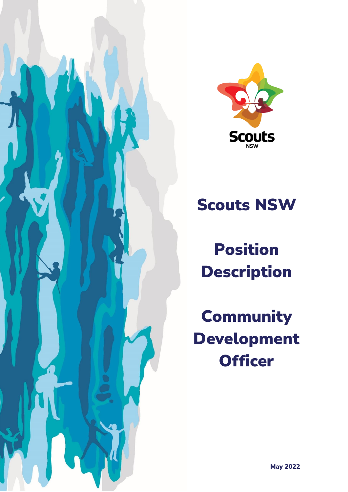



# Scouts NSW

Position Description

**Community** Development **Officer**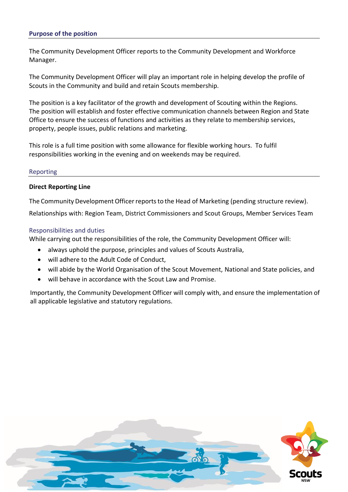## **Purpose of the position**

The Community Development Officer reports to the Community Development and Workforce Manager.

The Community Development Officer will play an important role in helping develop the profile of Scouts in the Community and build and retain Scouts membership.

The position is a key facilitator of the growth and development of Scouting within the Regions. The position will establish and foster effective communication channels between Region and State Office to ensure the success of functions and activities as they relate to membership services, property, people issues, public relations and marketing.

This role is a full time position with some allowance for flexible working hours. To fulfil responsibilities working in the evening and on weekends may be required.

#### Reporting

## **Direct Reporting Line**

The Community Development Officer reports to the Head of Marketing (pending structure review).

Relationships with: Region Team, District Commissioners and Scout Groups, Member Services Team

## Responsibilities and duties

While carrying out the responsibilities of the role, the Community Development Officer will:

- always uphold the purpose, principles and values of Scouts Australia,
- will adhere to the Adult Code of Conduct,
- will abide by the World Organisation of the Scout Movement, National and State policies, and
- will behave in accordance with the Scout Law and Promise.

Importantly, the Community Development Officer will comply with, and ensure the implementation of all applicable legislative and statutory regulations.

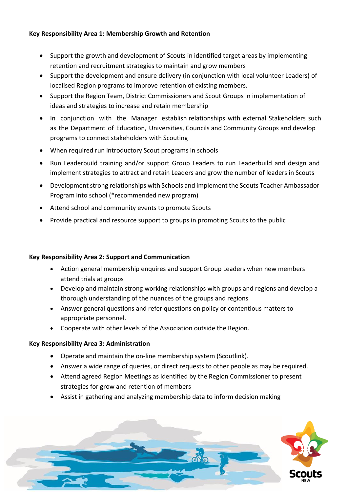## **Key Responsibility Area 1: Membership Growth and Retention**

- Support the growth and development of Scouts in identified target areas by implementing retention and recruitment strategies to maintain and grow members
- Support the development and ensure delivery (in conjunction with local volunteer Leaders) of localised Region programs to improve retention of existing members.
- Support the Region Team, District Commissioners and Scout Groups in implementation of ideas and strategies to increase and retain membership
- In conjunction with the Manager establish relationships with external Stakeholders such as the Department of Education, Universities, Councils and Community Groups and develop programs to connect stakeholders with Scouting
- When required run introductory Scout programs in schools
- Run Leaderbuild training and/or support Group Leaders to run Leaderbuild and design and implement strategies to attract and retain Leaders and grow the number of leaders in Scouts
- Development strong relationships with Schools and implement the Scouts Teacher Ambassador Program into school (\*recommended new program)
- Attend school and community events to promote Scouts
- Provide practical and resource support to groups in promoting Scouts to the public

## **Key Responsibility Area 2: Support and Communication**

- Action general membership enquires and support Group Leaders when new members attend trials at groups
- Develop and maintain strong working relationships with groups and regions and develop a thorough understanding of the nuances of the groups and regions
- Answer general questions and refer questions on policy or contentious matters to appropriate personnel.
- Cooperate with other levels of the Association outside the Region.

## **Key Responsibility Area 3: Administration**

- Operate and maintain the on-line membership system (Scoutlink).
- Answer a wide range of queries, or direct requests to other people as may be required.
- Attend agreed Region Meetings as identified by the Region Commissioner to present strategies for grow and retention of members
- Assist in gathering and analyzing membership data to inform decision making

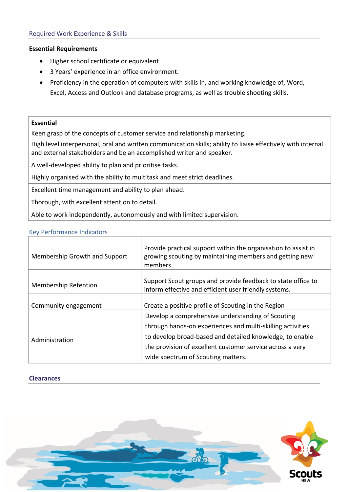## **Essential Requirements**

- Higher school certificate or equivalent
- 3 Years' experience in an office environment.
- Proficiency in the operation of computers with skills in, and working knowledge of, Word, Excel, Access and Outlook and database programs, as well as trouble shooting skills.

## **Essential**

Keen grasp of the concepts of customer service and relationship marketing.

High level interpersonal, oral and written communication skills; ability to liaise effectively with internal and external stakeholders and be an accomplished writer and speaker.

A well-developed ability to plan and prioritise tasks.

Highly organised with the ability to multitask and meet strict deadlines.

Excellent time management and ability to plan ahead.

Thorough, with excellent attention to detail.

Able to work independently, autonomously and with limited supervision.

## Key Performance Indicators

| Membership Growth and Support | Provide practical support within the organisation to assist in<br>growing scouting by maintaining members and getting new<br>members |
|-------------------------------|--------------------------------------------------------------------------------------------------------------------------------------|
| <b>Membership Retention</b>   | Support Scout groups and provide feedback to state office to<br>inform effective and efficient user friendly systems.                |
| Community engagement          | Create a positive profile of Scouting in the Region                                                                                  |
| Administration                | Develop a comprehensive understanding of Scouting                                                                                    |
|                               | through hands-on experiences and multi-skilling activities<br>to develop broad-based and detailed knowledge, to enable               |
|                               | the provision of excellent customer service across a very                                                                            |
|                               | wide spectrum of Scouting matters.                                                                                                   |

## **Clearances**